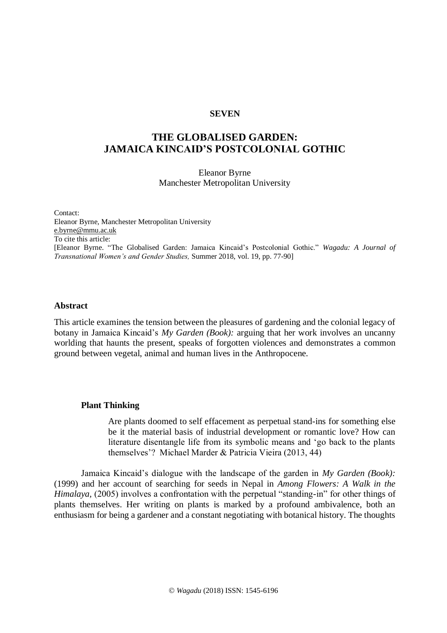# **SEVEN**

# **THE GLOBALISED GARDEN: JAMAICA KINCAID'S POSTCOLONIAL GOTHIC**

Eleanor Byrne Manchester Metropolitan University

Contact: Eleanor Byrne, Manchester Metropolitan University [e.byrne@mmu.ac.uk](mailto:e.byrne@mmu.ac.uk) To cite this article: [Eleanor Byrne. "The Globalised Garden: Jamaica Kincaid's Postcolonial Gothic." *Wagadu: A Journal of Transnational Women's and Gender Studies,* Summer 2018, vol. 19, pp. 77-90]

# **Abstract**

This article examines the tension between the pleasures of gardening and the colonial legacy of botany in Jamaica Kincaid's *My Garden (Book):* arguing that her work involves an uncanny worlding that haunts the present, speaks of forgotten violences and demonstrates a common ground between vegetal, animal and human lives in the Anthropocene.

#### **Plant Thinking**

Are plants doomed to self effacement as perpetual stand-ins for something else be it the material basis of industrial development or romantic love? How can literature disentangle life from its symbolic means and 'go back to the plants themselves'? Michael Marder & Patricia Vieira (2013, 44)

Jamaica Kincaid's dialogue with the landscape of the garden in *My Garden (Book):* (1999) and her account of searching for seeds in Nepal in *Among Flowers: A Walk in the Himalaya,* (2005) involves a confrontation with the perpetual "standing-in" for other things of plants themselves. Her writing on plants is marked by a profound ambivalence, both an enthusiasm for being a gardener and a constant negotiating with botanical history. The thoughts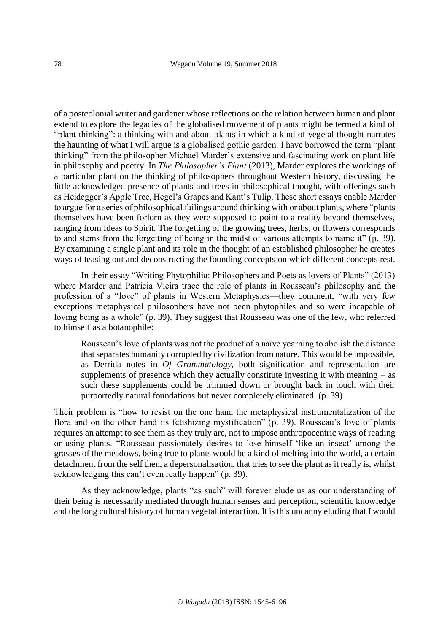of a postcolonial writer and gardener whose reflections on the relation between human and plant extend to explore the legacies of the globalised movement of plants might be termed a kind of "plant thinking": a thinking with and about plants in which a kind of vegetal thought narrates the haunting of what I will argue is a globalised gothic garden. I have borrowed the term "plant thinking" from the philosopher Michael Marder's extensive and fascinating work on plant life in philosophy and poetry. In *The Philosopher's Plant* (2013), Marder explores the workings of a particular plant on the thinking of philosophers throughout Western history, discussing the little acknowledged presence of plants and trees in philosophical thought, with offerings such as Heidegger's Apple Tree, Hegel's Grapes and Kant's Tulip. These short essays enable Marder to argue for a series of philosophical failings around thinking with or about plants, where "plants themselves have been forlorn as they were supposed to point to a reality beyond themselves, ranging from Ideas to Spirit. The forgetting of the growing trees, herbs, or flowers corresponds to and stems from the forgetting of being in the midst of various attempts to name it" (p. 39). By examining a single plant and its role in the thought of an established philosopher he creates ways of teasing out and deconstructing the founding concepts on which different concepts rest.

In their essay "Writing Phytophilia: Philosophers and Poets as lovers of Plants" (2013) where Marder and Patricia Vieira trace the role of plants in Rousseau's philosophy and the profession of a "love" of plants in Western Metaphysics—they comment, "with very few exceptions metaphysical philosophers have not been phytophiles and so were incapable of loving being as a whole" (p. 39). They suggest that Rousseau was one of the few, who referred to himself as a botanophile:

Rousseau's love of plants was not the product of a naïve yearning to abolish the distance that separates humanity corrupted by civilization from nature. This would be impossible, as Derrida notes in *Of Grammatology,* both signification and representation are supplements of presence which they actually constitute investing it with meaning  $-$  as such these supplements could be trimmed down or brought back in touch with their purportedly natural foundations but never completely eliminated. (p. 39)

Their problem is "how to resist on the one hand the metaphysical instrumentalization of the flora and on the other hand its fetishizing mystification" (p. 39). Rousseau's love of plants requires an attempt to see them as they truly are, not to impose anthropocentric ways of reading or using plants. "Rousseau passionately desires to lose himself 'like an insect' among the grasses of the meadows, being true to plants would be a kind of melting into the world, a certain detachment from the self then, a depersonalisation, that tries to see the plant as it really is, whilst acknowledging this can't even really happen" (p. 39).

As they acknowledge, plants "as such" will forever elude us as our understanding of their being is necessarily mediated through human senses and perception, scientific knowledge and the long cultural history of human vegetal interaction. It is this uncanny eluding that I would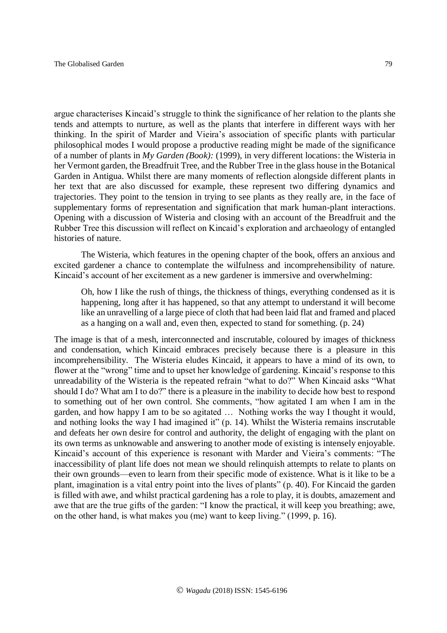argue characterises Kincaid's struggle to think the significance of her relation to the plants she tends and attempts to nurture, as well as the plants that interfere in different ways with her thinking. In the spirit of Marder and Vieira's association of specific plants with particular philosophical modes I would propose a productive reading might be made of the significance of a number of plants in *My Garden (Book):* (1999), in very different locations: the Wisteria in her Vermont garden, the Breadfruit Tree, and the Rubber Tree in the glass house in the Botanical Garden in Antigua. Whilst there are many moments of reflection alongside different plants in her text that are also discussed for example, these represent two differing dynamics and trajectories. They point to the tension in trying to see plants as they really are, in the face of supplementary forms of representation and signification that mark human-plant interactions. Opening with a discussion of Wisteria and closing with an account of the Breadfruit and the Rubber Tree this discussion will reflect on Kincaid's exploration and archaeology of entangled histories of nature.

The Wisteria, which features in the opening chapter of the book, offers an anxious and excited gardener a chance to contemplate the wilfulness and incomprehensibility of nature. Kincaid's account of her excitement as a new gardener is immersive and overwhelming:

Oh, how I like the rush of things, the thickness of things, everything condensed as it is happening, long after it has happened, so that any attempt to understand it will become like an unravelling of a large piece of cloth that had been laid flat and framed and placed as a hanging on a wall and, even then, expected to stand for something. (p. 24)

The image is that of a mesh, interconnected and inscrutable, coloured by images of thickness and condensation, which Kincaid embraces precisely because there is a pleasure in this incomprehensibility. The Wisteria eludes Kincaid, it appears to have a mind of its own, to flower at the "wrong" time and to upset her knowledge of gardening. Kincaid's response to this unreadability of the Wisteria is the repeated refrain "what to do?" When Kincaid asks "What should I do? What am I to do?" there is a pleasure in the inability to decide how best to respond to something out of her own control. She comments, "how agitated I am when I am in the garden, and how happy I am to be so agitated … Nothing works the way I thought it would, and nothing looks the way I had imagined it" (p. 14). Whilst the Wisteria remains inscrutable and defeats her own desire for control and authority, the delight of engaging with the plant on its own terms as unknowable and answering to another mode of existing is intensely enjoyable. Kincaid's account of this experience is resonant with Marder and Vieira's comments: "The inaccessibility of plant life does not mean we should relinquish attempts to relate to plants on their own grounds—even to learn from their specific mode of existence. What is it like to be a plant, imagination is a vital entry point into the lives of plants" (p. 40). For Kincaid the garden is filled with awe, and whilst practical gardening has a role to play, it is doubts, amazement and awe that are the true gifts of the garden: "I know the practical, it will keep you breathing; awe, on the other hand, is what makes you (me) want to keep living." (1999, p. 16).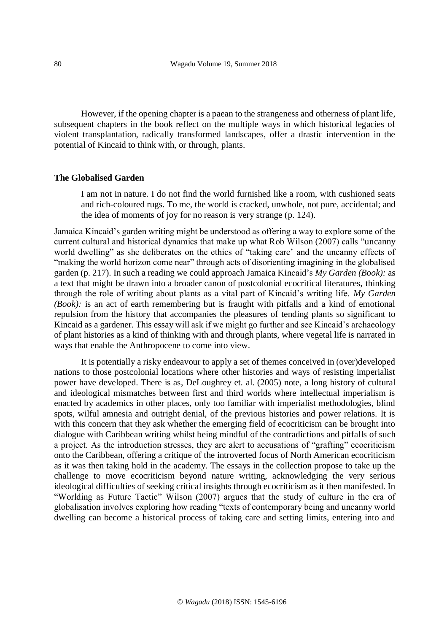However, if the opening chapter is a paean to the strangeness and otherness of plant life, subsequent chapters in the book reflect on the multiple ways in which historical legacies of violent transplantation, radically transformed landscapes, offer a drastic intervention in the potential of Kincaid to think with, or through, plants.

# **The Globalised Garden**

I am not in nature. I do not find the world furnished like a room, with cushioned seats and rich-coloured rugs. To me, the world is cracked, unwhole, not pure, accidental; and the idea of moments of joy for no reason is very strange (p. 124).

Jamaica Kincaid's garden writing might be understood as offering a way to explore some of the current cultural and historical dynamics that make up what Rob Wilson (2007) calls "uncanny world dwelling" as she deliberates on the ethics of "taking care' and the uncanny effects of "making the world horizon come near" through acts of disorienting imagining in the globalised garden (p. 217). In such a reading we could approach Jamaica Kincaid's *My Garden (Book):* as a text that might be drawn into a broader canon of postcolonial ecocritical literatures, thinking through the role of writing about plants as a vital part of Kincaid's writing life. *My Garden (Book):* is an act of earth remembering but is fraught with pitfalls and a kind of emotional repulsion from the history that accompanies the pleasures of tending plants so significant to Kincaid as a gardener. This essay will ask if we might go further and see Kincaid's archaeology of plant histories as a kind of thinking with and through plants, where vegetal life is narrated in ways that enable the Anthropocene to come into view.

It is potentially a risky endeavour to apply a set of themes conceived in (over)developed nations to those postcolonial locations where other histories and ways of resisting imperialist power have developed. There is as, DeLoughrey et. al. (2005) note, a long history of cultural and ideological mismatches between first and third worlds where intellectual imperialism is enacted by academics in other places, only too familiar with imperialist methodologies, blind spots, wilful amnesia and outright denial, of the previous histories and power relations. It is with this concern that they ask whether the emerging field of ecocriticism can be brought into dialogue with Caribbean writing whilst being mindful of the contradictions and pitfalls of such a project. As the introduction stresses, they are alert to accusations of "grafting" ecocriticism onto the Caribbean, offering a critique of the introverted focus of North American ecocriticism as it was then taking hold in the academy. The essays in the collection propose to take up the challenge to move ecocriticism beyond nature writing, acknowledging the very serious ideological difficulties of seeking critical insights through ecocriticism as it then manifested. In "Worlding as Future Tactic" Wilson (2007) argues that the study of culture in the era of globalisation involves exploring how reading "texts of contemporary being and uncanny world dwelling can become a historical process of taking care and setting limits, entering into and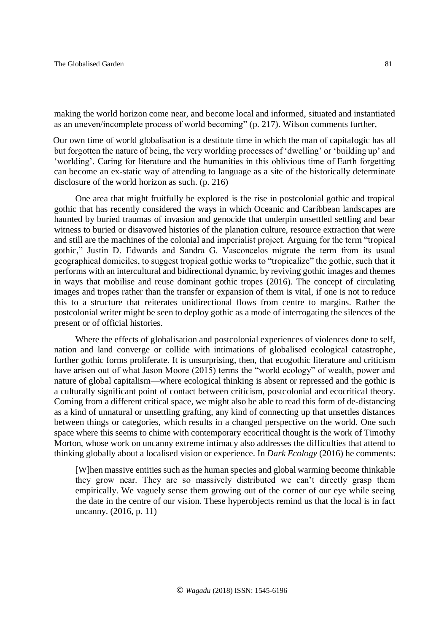making the world horizon come near, and become local and informed, situated and instantiated as an uneven/incomplete process of world becoming" (p. 217). Wilson comments further,

Our own time of world globalisation is a destitute time in which the man of capitalogic has all but forgotten the nature of being, the very worlding processes of 'dwelling' or 'building up' and 'worlding'. Caring for literature and the humanities in this oblivious time of Earth forgetting can become an ex-static way of attending to language as a site of the historically determinate disclosure of the world horizon as such. (p. 216)

One area that might fruitfully be explored is the rise in postcolonial gothic and tropical gothic that has recently considered the ways in which Oceanic and Caribbean landscapes are haunted by buried traumas of invasion and genocide that underpin unsettled settling and bear witness to buried or disavowed histories of the planation culture, resource extraction that were and still are the machines of the colonial and imperialist project. Arguing for the term "tropical gothic," Justin D. Edwards and Sandra G. Vasconcelos migrate the term from its usual geographical domiciles, to suggest tropical gothic works to "tropicalize" the gothic, such that it performs with an intercultural and bidirectional dynamic, by reviving gothic images and themes in ways that mobilise and reuse dominant gothic tropes (2016). The concept of circulating images and tropes rather than the transfer or expansion of them is vital, if one is not to reduce this to a structure that reiterates unidirectional flows from centre to margins. Rather the postcolonial writer might be seen to deploy gothic as a mode of interrogating the silences of the present or of official histories.

Where the effects of globalisation and postcolonial experiences of violences done to self, nation and land converge or collide with intimations of globalised ecological catastrophe, further gothic forms proliferate. It is unsurprising, then, that ecogothic literature and criticism have arisen out of what Jason Moore (2015) terms the "world ecology" of wealth, power and nature of global capitalism—where ecological thinking is absent or repressed and the gothic is a culturally significant point of contact between criticism, postcolonial and ecocritical theory. Coming from a different critical space, we might also be able to read this form of de-distancing as a kind of unnatural or unsettling grafting, any kind of connecting up that unsettles distances between things or categories, which results in a changed perspective on the world. One such space where this seems to chime with contemporary ecocritical thought is the work of Timothy Morton, whose work on uncanny extreme intimacy also addresses the difficulties that attend to thinking globally about a localised vision or experience. In *Dark Ecology* (2016) he comments:

[W]hen massive entities such as the human species and global warming become thinkable they grow near. They are so massively distributed we can't directly grasp them empirically. We vaguely sense them growing out of the corner of our eye while seeing the date in the centre of our vision. These hyperobjects remind us that the local is in fact uncanny. (2016, p. 11)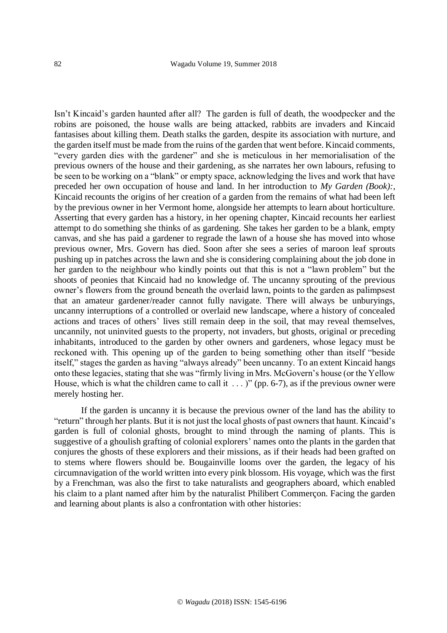Isn't Kincaid's garden haunted after all? The garden is full of death, the woodpecker and the robins are poisoned, the house walls are being attacked, rabbits are invaders and Kincaid fantasises about killing them. Death stalks the garden, despite its association with nurture, and the garden itself must be made from the ruins of the garden that went before. Kincaid comments, "every garden dies with the gardener" and she is meticulous in her memorialisation of the previous owners of the house and their gardening, as she narrates her own labours, refusing to be seen to be working on a "blank" or empty space, acknowledging the lives and work that have preceded her own occupation of house and land. In her introduction to *My Garden (Book):,*  Kincaid recounts the origins of her creation of a garden from the remains of what had been left by the previous owner in her Vermont home, alongside her attempts to learn about horticulture. Asserting that every garden has a history, in her opening chapter, Kincaid recounts her earliest attempt to do something she thinks of as gardening. She takes her garden to be a blank, empty canvas, and she has paid a gardener to regrade the lawn of a house she has moved into whose previous owner, Mrs. Govern has died. Soon after she sees a series of maroon leaf sprouts pushing up in patches across the lawn and she is considering complaining about the job done in her garden to the neighbour who kindly points out that this is not a "lawn problem" but the shoots of peonies that Kincaid had no knowledge of. The uncanny sprouting of the previous owner's flowers from the ground beneath the overlaid lawn, points to the garden as palimpsest that an amateur gardener/reader cannot fully navigate. There will always be unburyings, uncanny interruptions of a controlled or overlaid new landscape, where a history of concealed actions and traces of others' lives still remain deep in the soil, that may reveal themselves, uncannily, not uninvited guests to the property, not invaders, but ghosts, original or preceding inhabitants, introduced to the garden by other owners and gardeners, whose legacy must be reckoned with. This opening up of the garden to being something other than itself "beside itself," stages the garden as having "always already" been uncanny. To an extent Kincaid hangs onto these legacies, stating that she was "firmly living in Mrs. McGovern's house (or the Yellow House, which is what the children came to call it  $\ldots$  )" (pp. 6-7), as if the previous owner were merely hosting her.

If the garden is uncanny it is because the previous owner of the land has the ability to "return" through her plants. But it is not just the local ghosts of past owners that haunt. Kincaid's garden is full of colonial ghosts, brought to mind through the naming of plants. This is suggestive of a ghoulish grafting of colonial explorers' names onto the plants in the garden that conjures the ghosts of these explorers and their missions, as if their heads had been grafted on to stems where flowers should be. Bougainville looms over the garden, the legacy of his circumnavigation of the world written into every pink blossom. His voyage, which was the first by a Frenchman, was also the first to take naturalists and geographers aboard, which enabled his claim to a plant named after him by the naturalist Philibert Commerçon. Facing the garden and learning about plants is also a confrontation with other histories: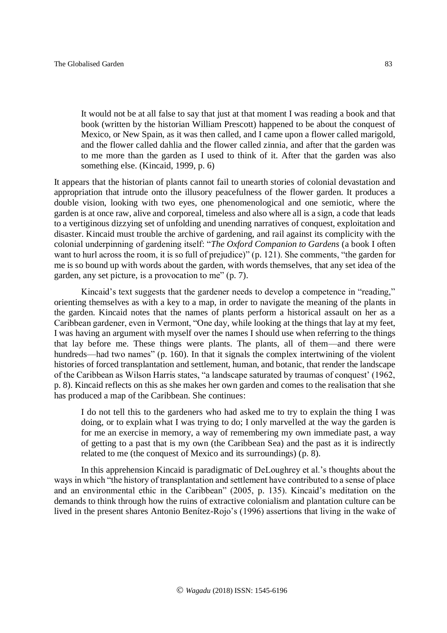It would not be at all false to say that just at that moment I was reading a book and that book (written by the historian William Prescott) happened to be about the conquest of Mexico, or New Spain, as it was then called, and I came upon a flower called marigold, and the flower called dahlia and the flower called zinnia, and after that the garden was to me more than the garden as I used to think of it. After that the garden was also something else. (Kincaid, 1999, p. 6)

It appears that the historian of plants cannot fail to unearth stories of colonial devastation and appropriation that intrude onto the illusory peacefulness of the flower garden. It produces a double vision, looking with two eyes, one phenomenological and one semiotic, where the garden is at once raw, alive and corporeal, timeless and also where all is a sign, a code that leads to a vertiginous dizzying set of unfolding and unending narratives of conquest, exploitation and disaster. Kincaid must trouble the archive of gardening, and rail against its complicity with the colonial underpinning of gardening itself: "*The Oxford Companion to Gardens* (a book I often want to hurl across the room, it is so full of prejudice)" (p. 121). She comments, "the garden for me is so bound up with words about the garden, with words themselves, that any set idea of the garden, any set picture, is a provocation to me" (p. 7).

Kincaid's text suggests that the gardener needs to develop a competence in "reading," orienting themselves as with a key to a map, in order to navigate the meaning of the plants in the garden. Kincaid notes that the names of plants perform a historical assault on her as a Caribbean gardener, even in Vermont, "One day, while looking at the things that lay at my feet, I was having an argument with myself over the names I should use when referring to the things that lay before me. These things were plants. The plants, all of them—and there were hundreds—had two names" (p. 160). In that it signals the complex intertwining of the violent histories of forced transplantation and settlement, human, and botanic, that render the landscape of the Caribbean as Wilson Harris states, "a landscape saturated by traumas of conquest' (1962, p. 8). Kincaid reflects on this as she makes her own garden and comes to the realisation that she has produced a map of the Caribbean. She continues:

I do not tell this to the gardeners who had asked me to try to explain the thing I was doing, or to explain what I was trying to do; I only marvelled at the way the garden is for me an exercise in memory, a way of remembering my own immediate past, a way of getting to a past that is my own (the Caribbean Sea) and the past as it is indirectly related to me (the conquest of Mexico and its surroundings) (p. 8).

In this apprehension Kincaid is paradigmatic of DeLoughrey et al.'s thoughts about the ways in which "the history of transplantation and settlement have contributed to a sense of place and an environmental ethic in the Caribbean" (2005, p. 135). Kincaid's meditation on the demands to think through how the ruins of extractive colonialism and plantation culture can be lived in the present shares Antonio Benítez-Rojo's (1996) assertions that living in the wake of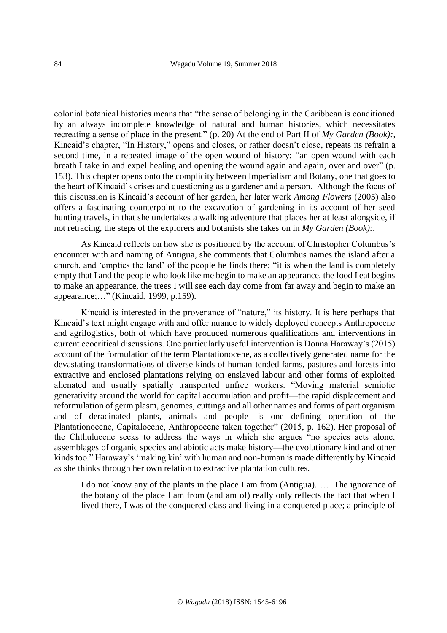colonial botanical histories means that "the sense of belonging in the Caribbean is conditioned by an always incomplete knowledge of natural and human histories, which necessitates recreating a sense of place in the present." (p. 20) At the end of Part II of *My Garden (Book):*, Kincaid's chapter, "In History," opens and closes, or rather doesn't close, repeats its refrain a second time, in a repeated image of the open wound of history: "an open wound with each breath I take in and expel healing and opening the wound again and again, over and over" (p. 153). This chapter opens onto the complicity between Imperialism and Botany, one that goes to the heart of Kincaid's crises and questioning as a gardener and a person. Although the focus of this discussion is Kincaid's account of her garden, her later work *Among Flowers* (2005) also offers a fascinating counterpoint to the excavation of gardening in its account of her seed hunting travels, in that she undertakes a walking adventure that places her at least alongside, if not retracing, the steps of the explorers and botanists she takes on in *My Garden (Book):.*

As Kincaid reflects on how she is positioned by the account of Christopher Columbus's encounter with and naming of Antigua, she comments that Columbus names the island after a church, and 'empties the land' of the people he finds there; "it is when the land is completely empty that I and the people who look like me begin to make an appearance, the food I eat begins to make an appearance, the trees I will see each day come from far away and begin to make an appearance;…" (Kincaid, 1999, p.159).

Kincaid is interested in the provenance of "nature," its history. It is here perhaps that Kincaid's text might engage with and offer nuance to widely deployed concepts Anthropocene and agrilogistics, both of which have produced numerous qualifications and interventions in current ecocritical discussions. One particularly useful intervention is Donna Haraway's (2015) account of the formulation of the term Plantationocene, as a collectively generated name for the devastating transformations of diverse kinds of human-tended farms, pastures and forests into extractive and enclosed plantations relying on enslaved labour and other forms of exploited alienated and usually spatially transported unfree workers. "Moving material semiotic generativity around the world for capital accumulation and profit—the rapid displacement and reformulation of germ plasm, genomes, cuttings and all other names and forms of part organism and of deracinated plants, animals and people—is one defining operation of the Plantationocene, Capitalocene, Anthropocene taken together" (2015, p. 162). Her proposal of the Chthulucene seeks to address the ways in which she argues "no species acts alone, assemblages of organic species and abiotic acts make history—the evolutionary kind and other kinds too." Haraway's 'making kin' with human and non-human is made differently by Kincaid as she thinks through her own relation to extractive plantation cultures.

I do not know any of the plants in the place I am from (Antigua). … The ignorance of the botany of the place I am from (and am of) really only reflects the fact that when I lived there, I was of the conquered class and living in a conquered place; a principle of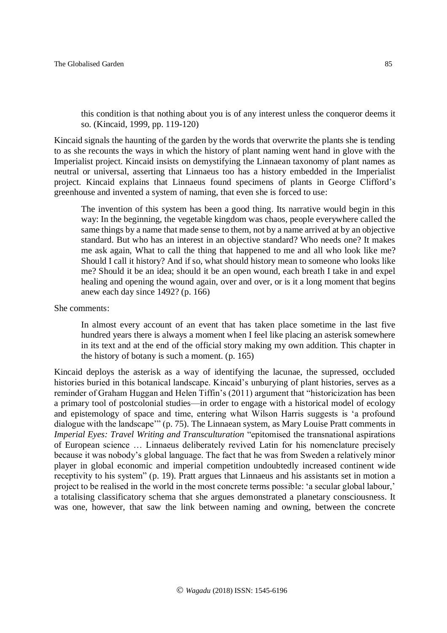this condition is that nothing about you is of any interest unless the conqueror deems it so. (Kincaid, 1999, pp. 119-120)

Kincaid signals the haunting of the garden by the words that overwrite the plants she is tending to as she recounts the ways in which the history of plant naming went hand in glove with the Imperialist project. Kincaid insists on demystifying the Linnaean taxonomy of plant names as neutral or universal, asserting that Linnaeus too has a history embedded in the Imperialist project. Kincaid explains that Linnaeus found specimens of plants in George Clifford's greenhouse and invented a system of naming, that even she is forced to use:

The invention of this system has been a good thing. Its narrative would begin in this way: In the beginning, the vegetable kingdom was chaos, people everywhere called the same things by a name that made sense to them, not by a name arrived at by an objective standard. But who has an interest in an objective standard? Who needs one? It makes me ask again, What to call the thing that happened to me and all who look like me? Should I call it history? And if so, what should history mean to someone who looks like me? Should it be an idea; should it be an open wound, each breath I take in and expel healing and opening the wound again, over and over, or is it a long moment that begins anew each day since 1492? (p. 166)

She comments:

In almost every account of an event that has taken place sometime in the last five hundred years there is always a moment when I feel like placing an asterisk somewhere in its text and at the end of the official story making my own addition. This chapter in the history of botany is such a moment. (p. 165)

Kincaid deploys the asterisk as a way of identifying the lacunae, the supressed, occluded histories buried in this botanical landscape. Kincaid's unburying of plant histories, serves as a reminder of Graham Huggan and Helen Tiffin's (2011) argument that "historicization has been a primary tool of postcolonial studies—in order to engage with a historical model of ecology and epistemology of space and time, entering what Wilson Harris suggests is 'a profound dialogue with the landscape'" (p. 75). The Linnaean system, as Mary Louise Pratt comments in *Imperial Eyes: Travel Writing and Transculturation* "epitomised the transnational aspirations of European science … Linnaeus deliberately revived Latin for his nomenclature precisely because it was nobody's global language. The fact that he was from Sweden a relatively minor player in global economic and imperial competition undoubtedly increased continent wide receptivity to his system" (p. 19). Pratt argues that Linnaeus and his assistants set in motion a project to be realised in the world in the most concrete terms possible: 'a secular global labour,' a totalising classificatory schema that she argues demonstrated a planetary consciousness. It was one, however, that saw the link between naming and owning, between the concrete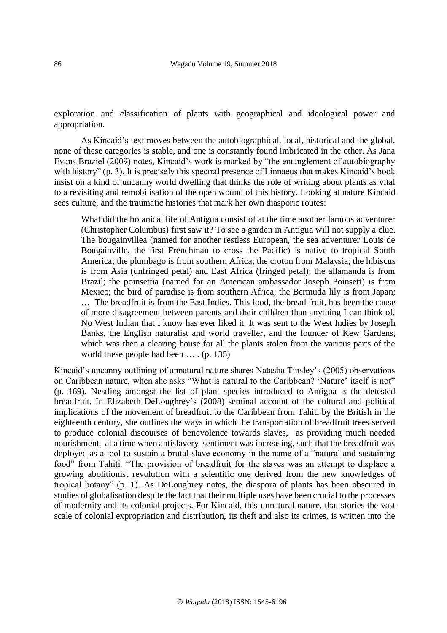exploration and classification of plants with geographical and ideological power and appropriation.

As Kincaid's text moves between the autobiographical, local, historical and the global, none of these categories is stable, and one is constantly found imbricated in the other. As Jana Evans Braziel (2009) notes, Kincaid's work is marked by "the entanglement of autobiography with history" (p. 3). It is precisely this spectral presence of Linnaeus that makes Kincaid's book insist on a kind of uncanny world dwelling that thinks the role of writing about plants as vital to a revisiting and remobilisation of the open wound of this history. Looking at nature Kincaid sees culture, and the traumatic histories that mark her own diasporic routes:

What did the botanical life of Antigua consist of at the time another famous adventurer (Christopher Columbus) first saw it? To see a garden in Antigua will not supply a clue. The bougainvillea (named for another restless European, the sea adventurer Louis de Bougainville, the first Frenchman to cross the Pacific) is native to tropical South America; the plumbago is from southern Africa; the croton from Malaysia; the hibiscus is from Asia (unfringed petal) and East Africa (fringed petal); the allamanda is from Brazil; the poinsettia (named for an American ambassador Joseph Poinsett) is from Mexico; the bird of paradise is from southern Africa; the Bermuda lily is from Japan; … The breadfruit is from the East Indies. This food, the bread fruit, has been the cause of more disagreement between parents and their children than anything I can think of. No West Indian that I know has ever liked it. It was sent to the West Indies by Joseph Banks, the English naturalist and world traveller, and the founder of Kew Gardens, which was then a clearing house for all the plants stolen from the various parts of the world these people had been … . (p. 135)

Kincaid's uncanny outlining of unnatural nature shares Natasha Tinsley's (2005) observations on Caribbean nature, when she asks "What is natural to the Caribbean? 'Nature' itself is not" (p. 169). Nestling amongst the list of plant species introduced to Antigua is the detested breadfruit. In Elizabeth DeLoughrey's (2008) seminal account of the cultural and political implications of the movement of breadfruit to the Caribbean from Tahiti by the British in the eighteenth century, she outlines the ways in which the transportation of breadfruit trees served to produce colonial discourses of benevolence towards slaves, as providing much needed nourishment, at a time when antislavery sentiment was increasing, such that the breadfruit was deployed as a tool to sustain a brutal slave economy in the name of a "natural and sustaining food" from Tahiti. "The provision of breadfruit for the slaves was an attempt to displace a growing abolitionist revolution with a scientific one derived from the new knowledges of tropical botany" (p. 1). As DeLoughrey notes, the diaspora of plants has been obscured in studies of globalisation despite the fact that their multiple uses have been crucial to the processes of modernity and its colonial projects. For Kincaid, this unnatural nature, that stories the vast scale of colonial expropriation and distribution, its theft and also its crimes, is written into the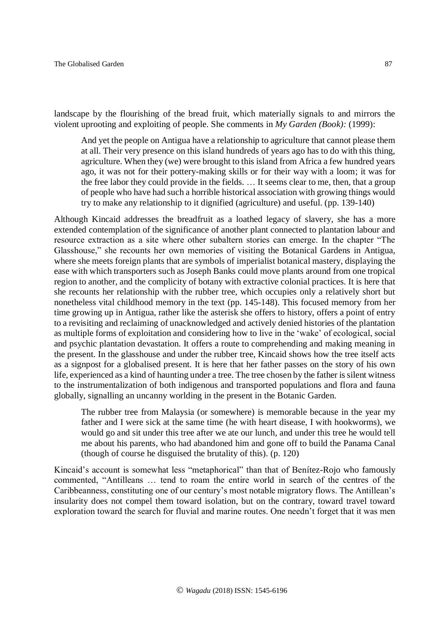landscape by the flourishing of the bread fruit, which materially signals to and mirrors the violent uprooting and exploiting of people. She comments in *My Garden (Book):* (1999):

And yet the people on Antigua have a relationship to agriculture that cannot please them at all. Their very presence on this island hundreds of years ago has to do with this thing, agriculture. When they (we) were brought to this island from Africa a few hundred years ago, it was not for their pottery-making skills or for their way with a loom; it was for the free labor they could provide in the fields. … It seems clear to me, then, that a group of people who have had such a horrible historical association with growing things would try to make any relationship to it dignified (agriculture) and useful. (pp. 139-140)

Although Kincaid addresses the breadfruit as a loathed legacy of slavery, she has a more extended contemplation of the significance of another plant connected to plantation labour and resource extraction as a site where other subaltern stories can emerge. In the chapter "The Glasshouse," she recounts her own memories of visiting the Botanical Gardens in Antigua, where she meets foreign plants that are symbols of imperialist botanical mastery, displaying the ease with which transporters such as Joseph Banks could move plants around from one tropical region to another, and the complicity of botany with extractive colonial practices. It is here that she recounts her relationship with the rubber tree, which occupies only a relatively short but nonetheless vital childhood memory in the text (pp. 145-148). This focused memory from her time growing up in Antigua, rather like the asterisk she offers to history, offers a point of entry to a revisiting and reclaiming of unacknowledged and actively denied histories of the plantation as multiple forms of exploitation and considering how to live in the 'wake' of ecological, social and psychic plantation devastation. It offers a route to comprehending and making meaning in the present. In the glasshouse and under the rubber tree, Kincaid shows how the tree itself acts as a signpost for a globalised present. It is here that her father passes on the story of his own life, experienced as a kind of haunting under a tree. The tree chosen by the father is silent witness to the instrumentalization of both indigenous and transported populations and flora and fauna globally, signalling an uncanny worlding in the present in the Botanic Garden.

The rubber tree from Malaysia (or somewhere) is memorable because in the year my father and I were sick at the same time (he with heart disease, I with hookworms), we would go and sit under this tree after we ate our lunch, and under this tree he would tell me about his parents, who had abandoned him and gone off to build the Panama Canal (though of course he disguised the brutality of this). (p. 120)

Kincaid's account is somewhat less "metaphorical" than that of Benítez-Rojo who famously commented, "Antilleans … tend to roam the entire world in search of the centres of the Caribbeanness, constituting one of our century's most notable migratory flows. The Antillean's insularity does not compel them toward isolation, but on the contrary, toward travel toward exploration toward the search for fluvial and marine routes. One needn't forget that it was men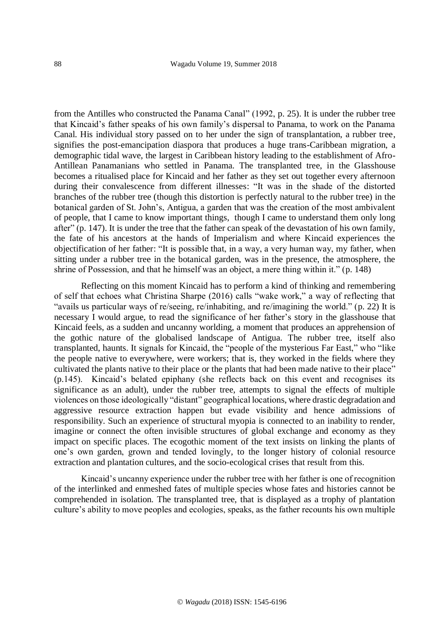from the Antilles who constructed the Panama Canal" (1992, p. 25). It is under the rubber tree that Kincaid's father speaks of his own family's dispersal to Panama, to work on the Panama Canal. His individual story passed on to her under the sign of transplantation, a rubber tree, signifies the post-emancipation diaspora that produces a huge trans-Caribbean migration, a demographic tidal wave, the largest in Caribbean history leading to the establishment of Afro-Antillean Panamanians who settled in Panama. The transplanted tree, in the Glasshouse becomes a ritualised place for Kincaid and her father as they set out together every afternoon during their convalescence from different illnesses: "It was in the shade of the distorted branches of the rubber tree (though this distortion is perfectly natural to the rubber tree) in the botanical garden of St. John's, Antigua, a garden that was the creation of the most ambivalent of people, that I came to know important things, though I came to understand them only long after" (p. 147). It is under the tree that the father can speak of the devastation of his own family, the fate of his ancestors at the hands of Imperialism and where Kincaid experiences the objectification of her father: "It is possible that, in a way, a very human way, my father, when sitting under a rubber tree in the botanical garden, was in the presence, the atmosphere, the shrine of Possession, and that he himself was an object, a mere thing within it." (p. 148)

Reflecting on this moment Kincaid has to perform a kind of thinking and remembering of self that echoes what Christina Sharpe (2016) calls "wake work," a way of reflecting that "avails us particular ways of re/seeing, re/inhabiting, and re/imagining the world." (p. 22) It is necessary I would argue, to read the significance of her father's story in the glasshouse that Kincaid feels, as a sudden and uncanny worlding, a moment that produces an apprehension of the gothic nature of the globalised landscape of Antigua. The rubber tree, itself also transplanted, haunts. It signals for Kincaid, the "people of the mysterious Far East," who "like the people native to everywhere, were workers; that is, they worked in the fields where they cultivated the plants native to their place or the plants that had been made native to their place" (p.145). Kincaid's belated epiphany (she reflects back on this event and recognises its significance as an adult), under the rubber tree, attempts to signal the effects of multiple violences on those ideologically "distant" geographical locations, where drastic degradation and aggressive resource extraction happen but evade visibility and hence admissions of responsibility. Such an experience of structural myopia is connected to an inability to render, imagine or connect the often invisible structures of global exchange and economy as they impact on specific places. The ecogothic moment of the text insists on linking the plants of one's own garden, grown and tended lovingly, to the longer history of colonial resource extraction and plantation cultures, and the socio-ecological crises that result from this.

Kincaid's uncanny experience under the rubber tree with her father is one of recognition of the interlinked and enmeshed fates of multiple species whose fates and histories cannot be comprehended in isolation. The transplanted tree, that is displayed as a trophy of plantation culture's ability to move peoples and ecologies, speaks, as the father recounts his own multiple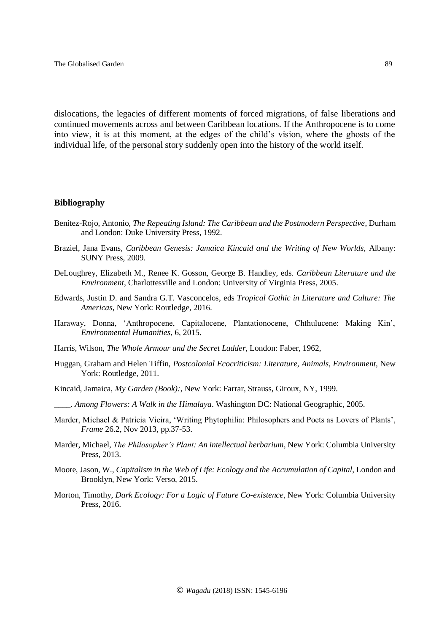dislocations, the legacies of different moments of forced migrations, of false liberations and continued movements across and between Caribbean locations. If the Anthropocene is to come into view, it is at this moment, at the edges of the child's vision, where the ghosts of the individual life, of the personal story suddenly open into the history of the world itself.

# **Bibliography**

- Benítez-Rojo, Antonio, *The Repeating Island: The Caribbean and the Postmodern Perspective*, Durham and London: Duke University Press, 1992.
- Braziel, Jana Evans, *Caribbean Genesis: Jamaica Kincaid and the Writing of New Worlds*, Albany: SUNY Press, 2009.
- DeLoughrey, Elizabeth M., Renee K. Gosson, George B. Handley, eds. *Caribbean Literature and the Environment*, Charlottesville and London: University of Virginia Press, 2005.
- Edwards, Justin D. and Sandra G.T. Vasconcelos, eds *Tropical Gothic in Literature and Culture: The Americas,* New York: Routledge, 2016.
- Haraway, Donna, 'Anthropocene, Capitalocene, Plantationocene, Chthulucene: Making Kin', *Environmental Humanities*, 6, 2015.
- Harris, Wilson, *The Whole Armour and the Secret Ladder*, London: Faber, 1962,
- Huggan, Graham and Helen Tiffin, *Postcolonial Ecocriticism: Literature, Animals, Environment,* New York: Routledge, 2011.
- Kincaid, Jamaica, *My Garden (Book):,* New York: Farrar, Strauss, Giroux, NY, 1999.
- \_\_\_\_. *Among Flowers: A Walk in the Himalaya*. Washington DC: National Geographic, 2005.
- Marder, Michael & Patricia Vieira, 'Writing Phytophilia: Philosophers and Poets as Lovers of Plants', *Frame* 26.2, Nov 2013, pp.37-53.
- Marder, Michael, *The Philosopher's Plant: An intellectual herbarium*, New York: Columbia University Press, 2013.
- Moore, Jason, W., *Capitalism in the Web of Life: Ecology and the Accumulation of Capital*, London and Brooklyn, New York: Verso, 2015.
- Morton, Timothy, *Dark Ecology: For a Logic of Future Co-existence*, New York: Columbia University Press, 2016.